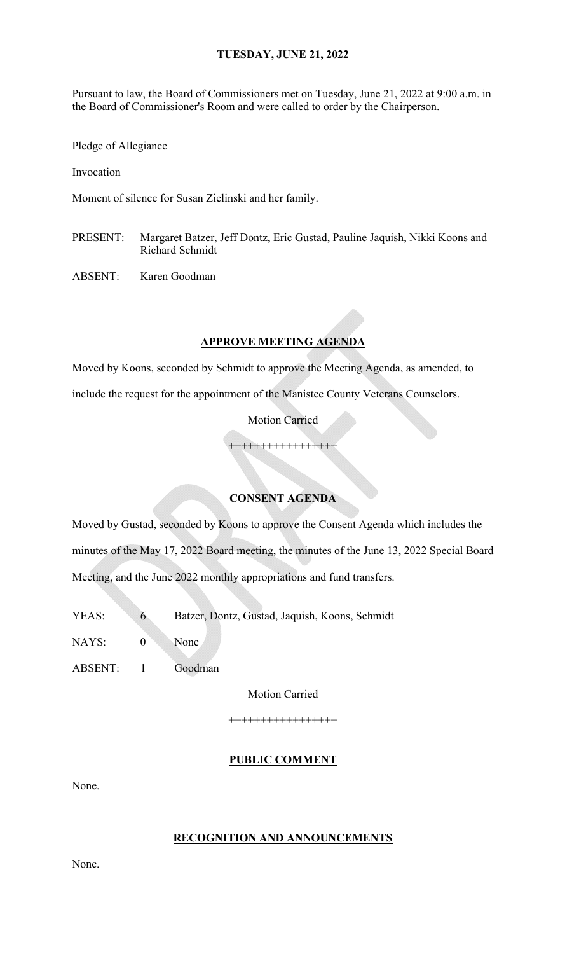Pursuant to law, the Board of Commissioners met on Tuesday, June 21, 2022 at 9:00 a.m. in the Board of Commissioner's Room and were called to order by the Chairperson.

Pledge of Allegiance

Invocation

Moment of silence for Susan Zielinski and her family.

PRESENT: Margaret Batzer, Jeff Dontz, Eric Gustad, Pauline Jaquish, Nikki Koons and Richard Schmidt

ABSENT: Karen Goodman

#### **APPROVE MEETING AGENDA**

Moved by Koons, seconded by Schmidt to approve the Meeting Agenda, as amended, to

include the request for the appointment of the Manistee County Veterans Counselors.

Motion Carried

+++++++++++++++++

### **CONSENT AGENDA**

Moved by Gustad, seconded by Koons to approve the Consent Agenda which includes the minutes of the May 17, 2022 Board meeting, the minutes of the June 13, 2022 Special Board Meeting, and the June 2022 monthly appropriations and fund transfers.

- YEAS: 6 Batzer, Dontz, Gustad, Jaquish, Koons, Schmidt
- NAYS: 0 None
- ABSENT: 1 Goodman

Motion Carried

+++++++++++++++++

#### **PUBLIC COMMENT**

None.

#### **RECOGNITION AND ANNOUNCEMENTS**

None.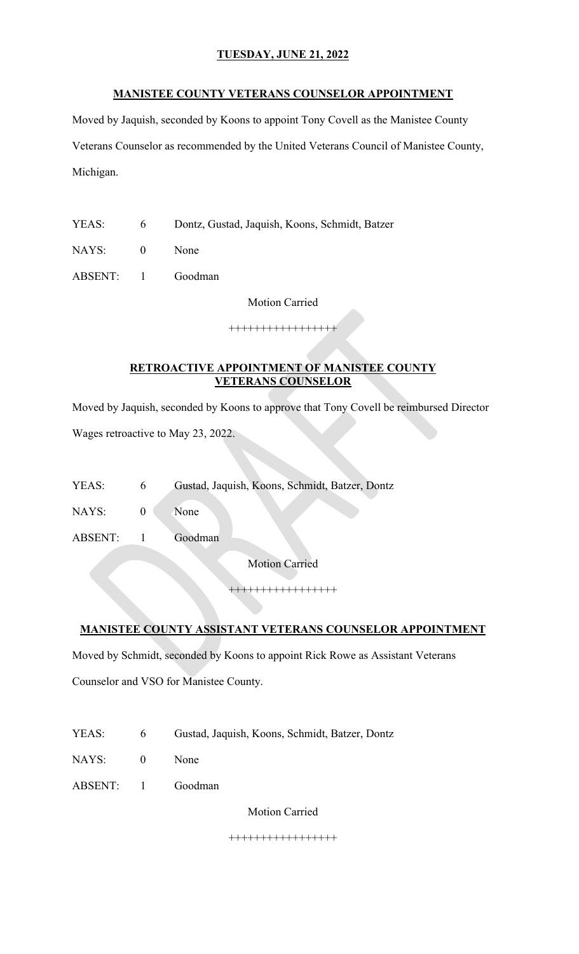#### **MANISTEE COUNTY VETERANS COUNSELOR APPOINTMENT**

Moved by Jaquish, seconded by Koons to appoint Tony Covell as the Manistee County Veterans Counselor as recommended by the United Veterans Council of Manistee County, Michigan.

- YEAS: 6 Dontz, Gustad, Jaquish, Koons, Schmidt, Batzer
- NAYS: 0 None

ABSENT: 1 Goodman

Motion Carried

+++++++++++++++++

## **RETROACTIVE APPOINTMENT OF MANISTEE COUNTY VETERANS COUNSELOR**

Moved by Jaquish, seconded by Koons to approve that Tony Covell be reimbursed Director Wages retroactive to May 23, 2022.

YEAS: 6 Gustad, Jaquish, Koons, Schmidt, Batzer, Dontz

NAYS: 0 None

ABSENT: 1 Goodman

Motion Carried

+++++++++++++++++

## **MANISTEE COUNTY ASSISTANT VETERANS COUNSELOR APPOINTMENT**

Moved by Schmidt, seconded by Koons to appoint Rick Rowe as Assistant Veterans Counselor and VSO for Manistee County.

| YEAS: |  | Gustad, Jaquish, Koons, Schmidt, Batzer, Dontz |
|-------|--|------------------------------------------------|
|-------|--|------------------------------------------------|

NAYS: 0 None

ABSENT: 1 Goodman

Motion Carried

+++++++++++++++++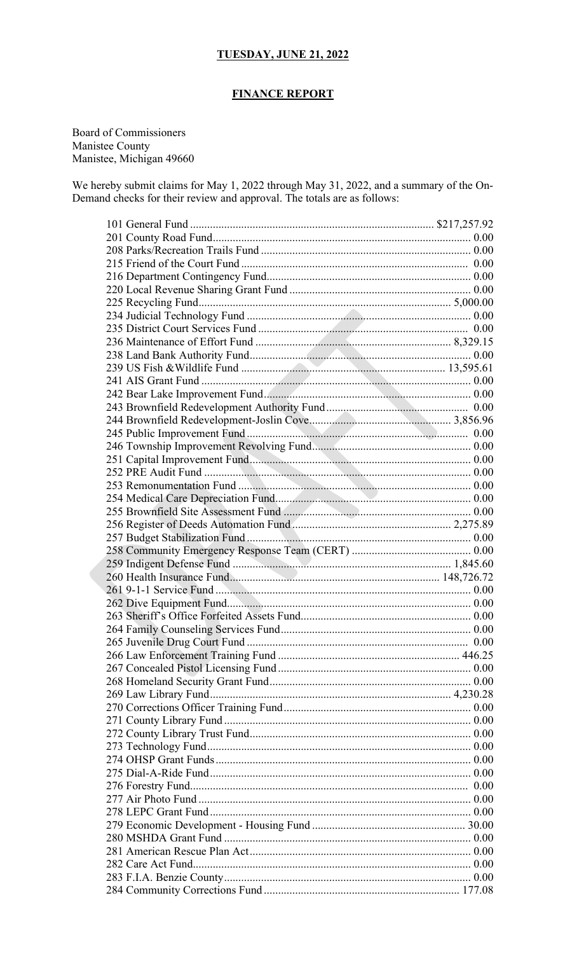### **FINANCE REPORT**

Board of Commissioners Manistee County Manistee, Michigan 49660

We hereby submit claims for May 1, 2022 through May 31, 2022, and a summary of the On-Demand checks for their review and approval. The totals are as follows: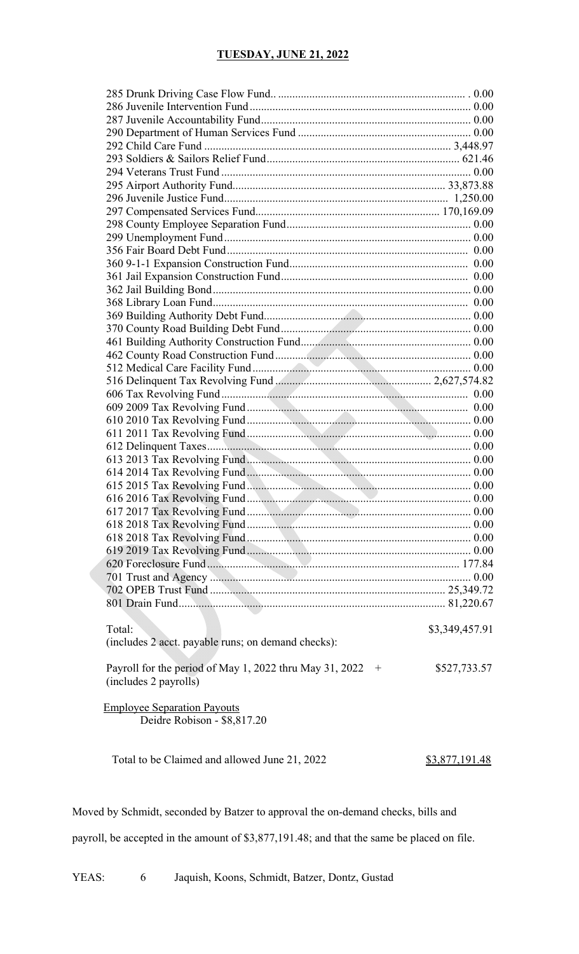| Total: |                                                             | \$3,349,457.91 |
|--------|-------------------------------------------------------------|----------------|
|        | (includes 2 acct. payable runs; on demand checks):          |                |
|        |                                                             |                |
|        |                                                             |                |
|        | Payroll for the period of May 1, 2022 thru May 31, 2022 $+$ | \$527,733.57   |
|        | (includes 2 payrolls)                                       |                |
|        |                                                             |                |
|        | <b>Employee Separation Payouts</b>                          |                |
|        | Deidre Robison - \$8,817.20                                 |                |
|        |                                                             |                |

Total to be Claimed and allowed June 21, 2022 \$3,877,191.48

Moved by Schmidt, seconded by Batzer to approval the on-demand checks, bills and

payroll, be accepted in the amount of \$3,877,191.48; and that the same be placed on file.

YEAS: 6 Jaquish, Koons, Schmidt, Batzer, Dontz, Gustad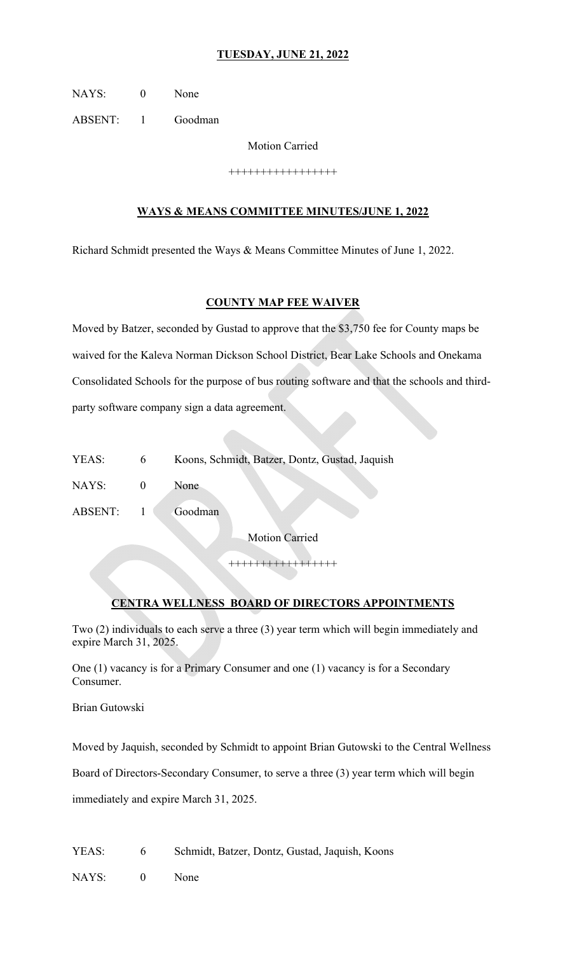NAYS: 0 None

ABSENT: 1 Goodman

Motion Carried

+++++++++++++++++

#### **WAYS & MEANS COMMITTEE MINUTES/JUNE 1, 2022**

Richard Schmidt presented the Ways & Means Committee Minutes of June 1, 2022.

#### **COUNTY MAP FEE WAIVER**

Moved by Batzer, seconded by Gustad to approve that the \$3,750 fee for County maps be waived for the Kaleva Norman Dickson School District, Bear Lake Schools and Onekama Consolidated Schools for the purpose of bus routing software and that the schools and thirdparty software company sign a data agreement.

| YEAS: |  | Koons, Schmidt, Batzer, Dontz, Gustad, Jaquish |
|-------|--|------------------------------------------------|
|-------|--|------------------------------------------------|

NAYS: 0 None

ABSENT: 1 Goodman

Motion Carried

+++++++++++++++++

#### **CENTRA WELLNESS BOARD OF DIRECTORS APPOINTMENTS**

Two (2) individuals to each serve a three (3) year term which will begin immediately and expire March 31, 2025.

One (1) vacancy is for a Primary Consumer and one (1) vacancy is for a Secondary Consumer.

Brian Gutowski

Moved by Jaquish, seconded by Schmidt to appoint Brian Gutowski to the Central Wellness

Board of Directors-Secondary Consumer, to serve a three (3) year term which will begin

immediately and expire March 31, 2025.

YEAS: 6 Schmidt, Batzer, Dontz, Gustad, Jaquish, Koons

NAYS: 0 None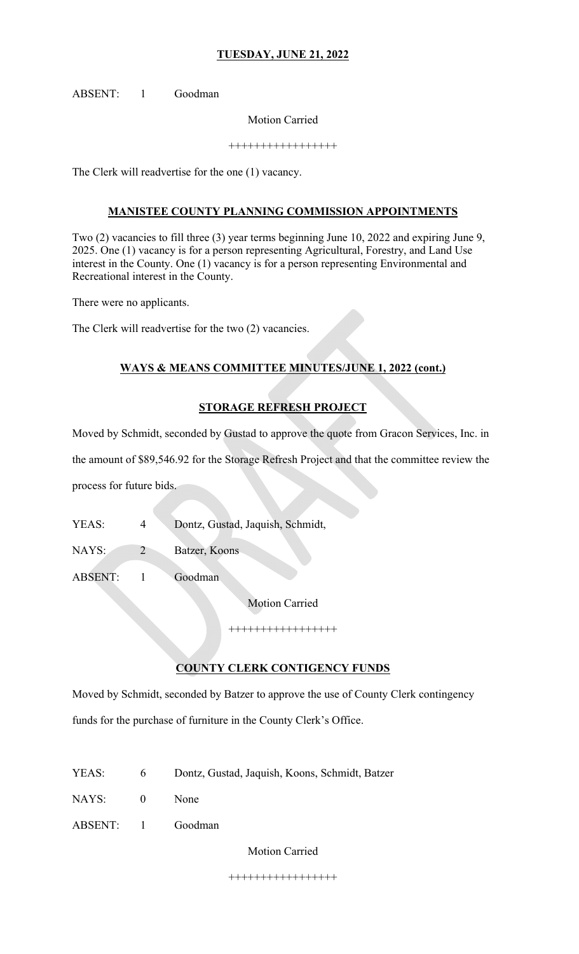ABSENT: 1 Goodman

Motion Carried

+++++++++++++++++

The Clerk will readvertise for the one (1) vacancy.

### **MANISTEE COUNTY PLANNING COMMISSION APPOINTMENTS**

Two (2) vacancies to fill three (3) year terms beginning June 10, 2022 and expiring June 9, 2025. One (1) vacancy is for a person representing Agricultural, Forestry, and Land Use interest in the County. One (1) vacancy is for a person representing Environmental and Recreational interest in the County.

There were no applicants.

The Clerk will readvertise for the two (2) vacancies.

## **WAYS & MEANS COMMITTEE MINUTES/JUNE 1, 2022 (cont.)**

### **STORAGE REFRESH PROJECT**

Moved by Schmidt, seconded by Gustad to approve the quote from Gracon Services, Inc. in

the amount of \$89,546.92 for the Storage Refresh Project and that the committee review the

process for future bids.

YEAS: 4 Dontz, Gustad, Jaquish, Schmidt,

NAYS: 2 Batzer, Koons

ABSENT: 1 Goodman

Motion Carried

+++++++++++++++++

## **COUNTY CLERK CONTIGENCY FUNDS**

Moved by Schmidt, seconded by Batzer to approve the use of County Clerk contingency funds for the purchase of furniture in the County Clerk's Office.

- YEAS: 6 Dontz, Gustad, Jaquish, Koons, Schmidt, Batzer
- NAYS: 0 None
- ABSENT: 1 Goodman

Motion Carried

+++++++++++++++++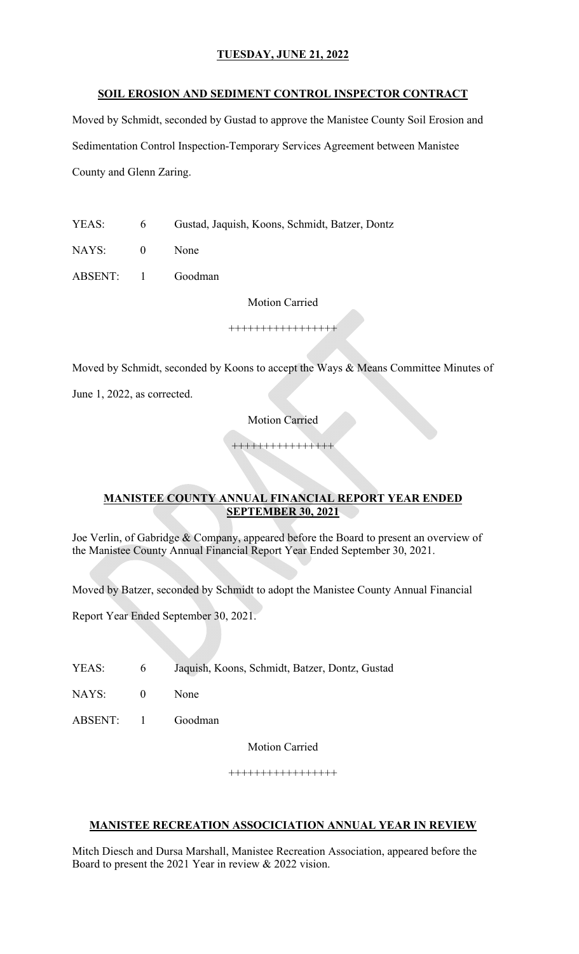#### **SOIL EROSION AND SEDIMENT CONTROL INSPECTOR CONTRACT**

Moved by Schmidt, seconded by Gustad to approve the Manistee County Soil Erosion and Sedimentation Control Inspection-Temporary Services Agreement between Manistee County and Glenn Zaring.

YEAS: 6 Gustad, Jaquish, Koons, Schmidt, Batzer, Dontz

NAYS: 0 None

ABSENT: 1 Goodman

Motion Carried

+++++++++++++++++

Moved by Schmidt, seconded by Koons to accept the Ways & Means Committee Minutes of

June 1, 2022, as corrected.

Motion Carried

++++++++++++++++

#### **MANISTEE COUNTY ANNUAL FINANCIAL REPORT YEAR ENDED SEPTEMBER 30, 2021**

Joe Verlin, of Gabridge & Company, appeared before the Board to present an overview of the Manistee County Annual Financial Report Year Ended September 30, 2021.

Moved by Batzer, seconded by Schmidt to adopt the Manistee County Annual Financial

Report Year Ended September 30, 2021.

YEAS: 6 Jaquish, Koons, Schmidt, Batzer, Dontz, Gustad

NAYS: 0 None

ABSENT: 1 Goodman

Motion Carried

+++++++++++++++++

### **MANISTEE RECREATION ASSOCICIATION ANNUAL YEAR IN REVIEW**

Mitch Diesch and Dursa Marshall, Manistee Recreation Association, appeared before the Board to present the 2021 Year in review & 2022 vision.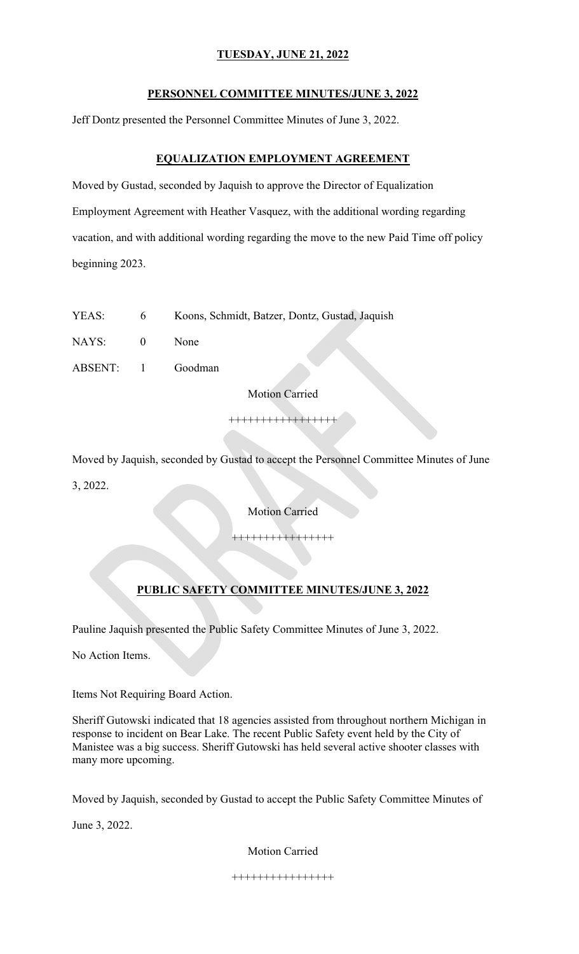#### **PERSONNEL COMMITTEE MINUTES/JUNE 3, 2022**

Jeff Dontz presented the Personnel Committee Minutes of June 3, 2022.

### **EQUALIZATION EMPLOYMENT AGREEMENT**

Moved by Gustad, seconded by Jaquish to approve the Director of Equalization Employment Agreement with Heather Vasquez, with the additional wording regarding vacation, and with additional wording regarding the move to the new Paid Time off policy beginning 2023.

YEAS: 6 Koons, Schmidt, Batzer, Dontz, Gustad, Jaquish

NAYS: 0 None

ABSENT: 1 Goodman

Motion Carried

+++++++++++++++++

Moved by Jaquish, seconded by Gustad to accept the Personnel Committee Minutes of June

3, 2022.

Motion Carried

++++++++++++++++

## **PUBLIC SAFETY COMMITTEE MINUTES/JUNE 3, 2022**

Pauline Jaquish presented the Public Safety Committee Minutes of June 3, 2022.

No Action Items.

Items Not Requiring Board Action.

Sheriff Gutowski indicated that 18 agencies assisted from throughout northern Michigan in response to incident on Bear Lake. The recent Public Safety event held by the City of Manistee was a big success. Sheriff Gutowski has held several active shooter classes with many more upcoming.

Moved by Jaquish, seconded by Gustad to accept the Public Safety Committee Minutes of

June 3, 2022.

Motion Carried

++++++++++++++++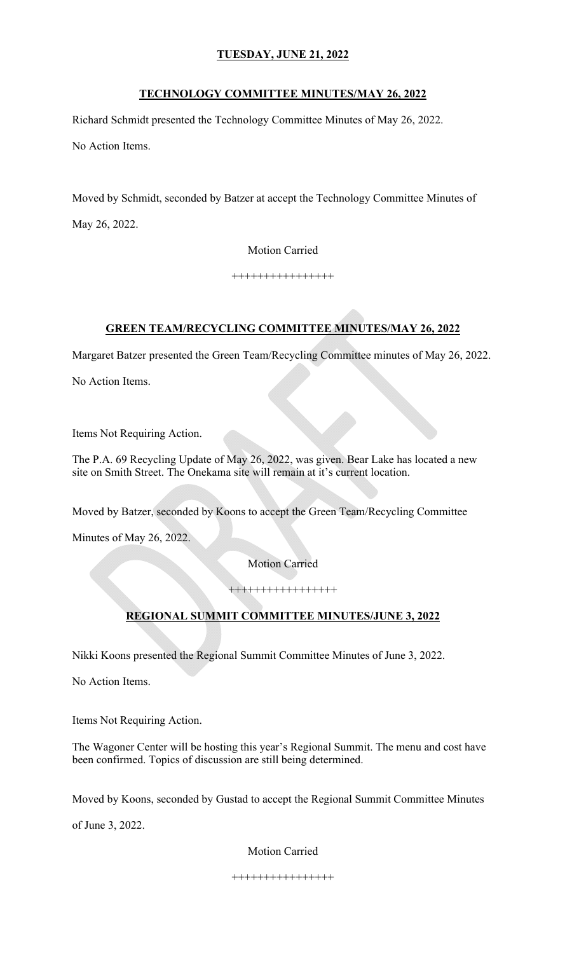### **TECHNOLOGY COMMITTEE MINUTES/MAY 26, 2022**

Richard Schmidt presented the Technology Committee Minutes of May 26, 2022.

No Action Items.

Moved by Schmidt, seconded by Batzer at accept the Technology Committee Minutes of May 26, 2022.

Motion Carried

++++++++++++++++

### **GREEN TEAM/RECYCLING COMMITTEE MINUTES/MAY 26, 2022**

Margaret Batzer presented the Green Team/Recycling Committee minutes of May 26, 2022.

No Action Items.

Items Not Requiring Action.

The P.A. 69 Recycling Update of May 26, 2022, was given. Bear Lake has located a new site on Smith Street. The Onekama site will remain at it's current location.

Moved by Batzer, seconded by Koons to accept the Green Team/Recycling Committee

Minutes of May 26, 2022.

Motion Carried

+++++++++++++++++

# **REGIONAL SUMMIT COMMITTEE MINUTES/JUNE 3, 2022**

Nikki Koons presented the Regional Summit Committee Minutes of June 3, 2022.

No Action Items.

Items Not Requiring Action.

The Wagoner Center will be hosting this year's Regional Summit. The menu and cost have been confirmed. Topics of discussion are still being determined.

Moved by Koons, seconded by Gustad to accept the Regional Summit Committee Minutes

of June 3, 2022.

Motion Carried

++++++++++++++++